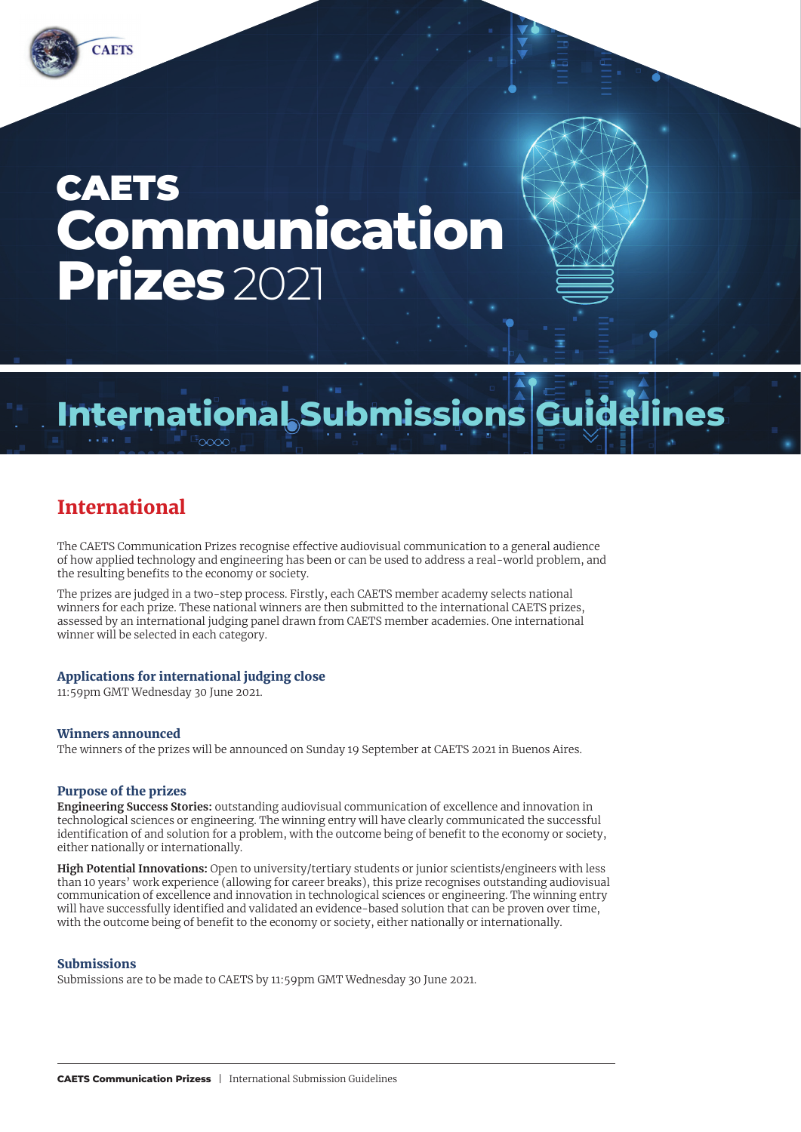# **CAETS Communication Prizes** 2021

# **International Submissions Guidelines**

# International

The CAETS Communication Prizes recognise effective audiovisual communication to a general audience of how applied technology and engineering has been or can be used to address a real-world problem, and the resulting benefits to the economy or society.

The prizes are judged in a two-step process. Firstly, each CAETS member academy selects national winners for each prize. These national winners are then submitted to the international CAETS prizes, assessed by an international judging panel drawn from CAETS member academies. One international winner will be selected in each category.

# Applications for international judging close

11:59pm GMT Wednesday 30 June 2021.

## Winners announced

The winners of the prizes will be announced on Sunday 19 September at CAETS 2021 in Buenos Aires.

#### Purpose of the prizes

**Engineering Success Stories:** outstanding audiovisual communication of excellence and innovation in technological sciences or engineering. The winning entry will have clearly communicated the successful identification of and solution for a problem, with the outcome being of benefit to the economy or society, either nationally or internationally.

**High Potential Innovations:** Open to university/tertiary students or junior scientists/engineers with less than 10 years' work experience (allowing for career breaks), this prize recognises outstanding audiovisual communication of excellence and innovation in technological sciences or engineering. The winning entry will have successfully identified and validated an evidence-based solution that can be proven over time, with the outcome being of benefit to the economy or society, either nationally or internationally.

#### Submissions

Submissions are to be made to CAETS by 11:59pm GMT Wednesday 30 June 2021.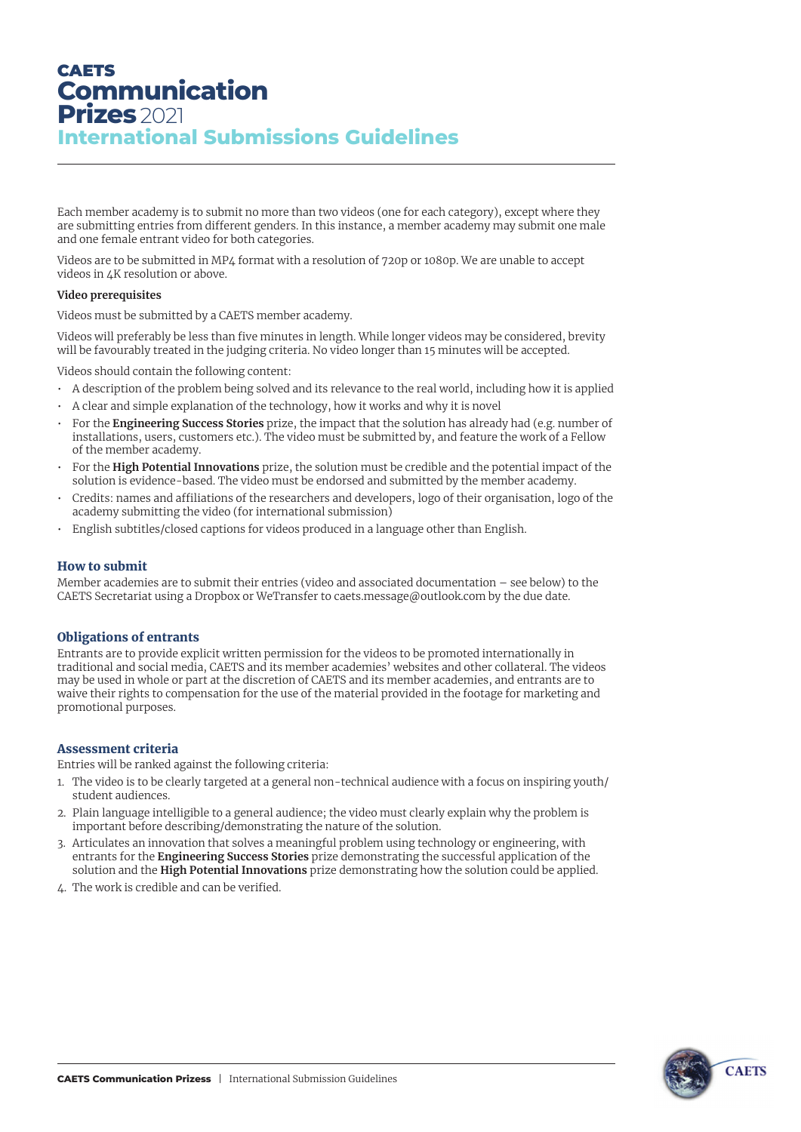# **CAETS Communication Prizes** 2021 **International Submissions Guidelines**

Each member academy is to submit no more than two videos (one for each category), except where they are submitting entries from different genders. In this instance, a member academy may submit one male and one female entrant video for both categories.

Videos are to be submitted in MP4 format with a resolution of 720p or 1080p. We are unable to accept videos in 4K resolution or above.

#### **Video prerequisites**

Videos must be submitted by a CAETS member academy.

Videos will preferably be less than five minutes in length. While longer videos may be considered, brevity will be favourably treated in the judging criteria. No video longer than 15 minutes will be accepted.

Videos should contain the following content:

- A description of the problem being solved and its relevance to the real world, including how it is applied
- A clear and simple explanation of the technology, how it works and why it is novel
- For the **Engineering Success Stories** prize, the impact that the solution has already had (e.g. number of installations, users, customers etc.). The video must be submitted by, and feature the work of a Fellow of the member academy.
- For the **High Potential Innovations** prize, the solution must be credible and the potential impact of the solution is evidence-based. The video must be endorsed and submitted by the member academy.
- Credits: names and affiliations of the researchers and developers, logo of their organisation, logo of the academy submitting the video (for international submission)
- English subtitles/closed captions for videos produced in a language other than English.

## How to submit

Member academies are to submit their entries (video and associated documentation – see below) to the CAETS Secretariat using a Dropbox or WeTransfer to caets.message@outlook.com by the due date.

## Obligations of entrants

Entrants are to provide explicit written permission for the videos to be promoted internationally in traditional and social media, CAETS and its member academies' websites and other collateral. The videos may be used in whole or part at the discretion of CAETS and its member academies, and entrants are to waive their rights to compensation for the use of the material provided in the footage for marketing and promotional purposes.

## Assessment criteria

Entries will be ranked against the following criteria:

- 1. The video is to be clearly targeted at a general non-technical audience with a focus on inspiring youth/ student audiences.
- 2. Plain language intelligible to a general audience; the video must clearly explain why the problem is important before describing/demonstrating the nature of the solution.
- 3. Articulates an innovation that solves a meaningful problem using technology or engineering, with entrants for the **Engineering Success Stories** prize demonstrating the successful application of the solution and the **High Potential Innovations** prize demonstrating how the solution could be applied.
- 4. The work is credible and can be verified.